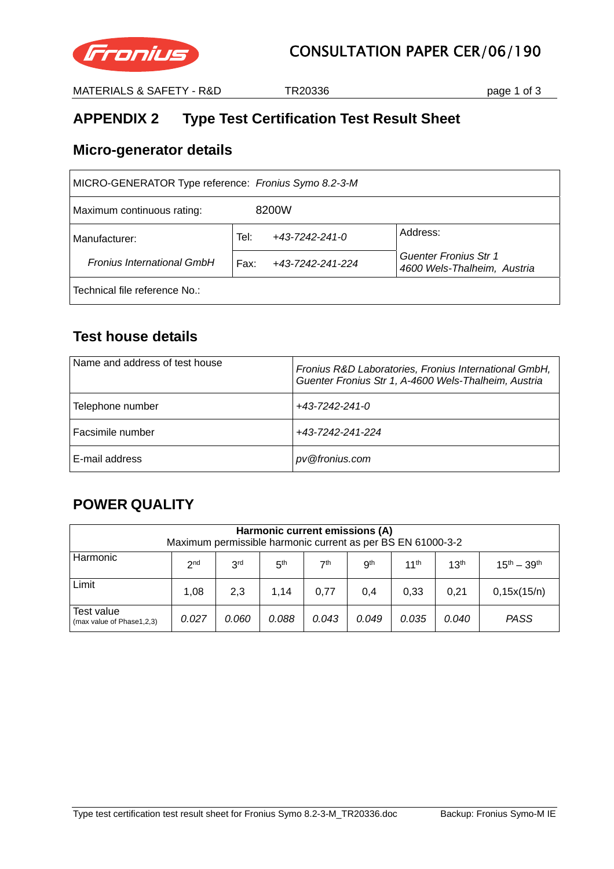

MATERIALS & SAFETY - R&D TR20336 Page 1 of 3

# **APPENDIX 2 Type Test Certification Test Result Sheet**

#### **Micro-generator details**

| MICRO-GENERATOR Type reference: Fronius Symo 8.2-3-M |                                |                                                      |  |  |  |  |
|------------------------------------------------------|--------------------------------|------------------------------------------------------|--|--|--|--|
| 8200W<br>Maximum continuous rating:                  |                                |                                                      |  |  |  |  |
| Manufacturer:                                        | Tel:<br>$+43 - 7242 - 241 - 0$ | Address:                                             |  |  |  |  |
| <b>Fronius International GmbH</b>                    | Fax:<br>+43-7242-241-224       | Guenter Fronius Str 1<br>4600 Wels-Thalheim, Austria |  |  |  |  |
| Technical file reference No.:                        |                                |                                                      |  |  |  |  |

## **Test house details**

| Name and address of test house | Fronius R&D Laboratories, Fronius International GmbH,<br>Guenter Fronius Str 1, A-4600 Wels-Thalheim, Austria |
|--------------------------------|---------------------------------------------------------------------------------------------------------------|
| Telephone number               | +43-7242-241-0                                                                                                |
| Facsimile number               | +43-7242-241-224                                                                                              |
| E-mail address                 | pv@fronius.com                                                                                                |

## **POWER QUALITY**

| Harmonic current emissions (A)<br>Maximum permissible harmonic current as per BS EN 61000-3-2                         |                                                                                                                                    |     |      |      |     |      |      |             |
|-----------------------------------------------------------------------------------------------------------------------|------------------------------------------------------------------------------------------------------------------------------------|-----|------|------|-----|------|------|-------------|
| Harmonic                                                                                                              | 3 <sup>rd</sup><br>7th<br>gth<br>11 <sup>th</sup><br>13 <sup>th</sup><br>5 <sup>th</sup><br>$15^{th} - 39^{th}$<br>2 <sub>nd</sub> |     |      |      |     |      |      |             |
| Limit                                                                                                                 | 1.08                                                                                                                               | 2,3 | 1.14 | 0.77 | 0.4 | 0.33 | 0.21 | 0,15x(15/n) |
| Test value<br><b>PASS</b><br>0.027<br>0.088<br>0.035<br>0.060<br>0.043<br>0.049<br>0.040<br>(max value of Phase1,2,3) |                                                                                                                                    |     |      |      |     |      |      |             |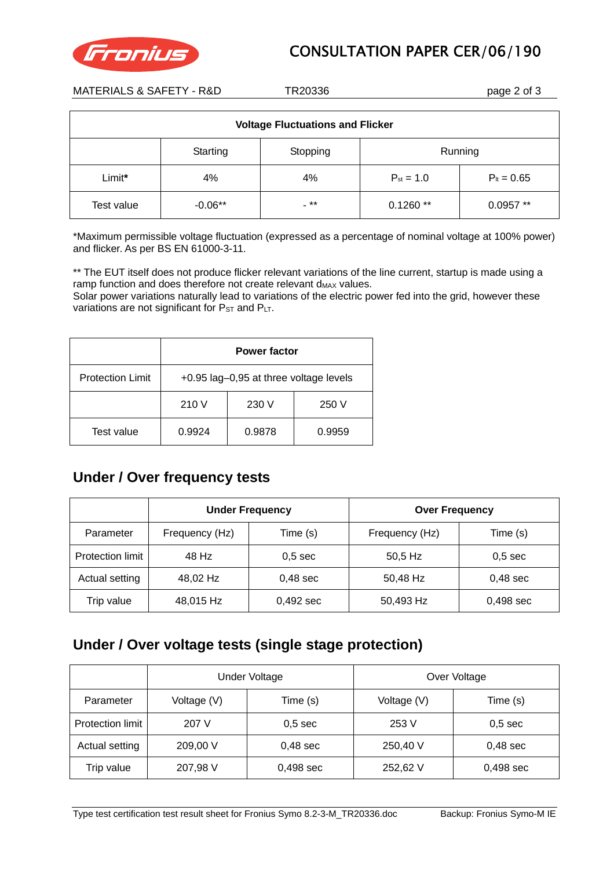



MATERIALS & SAFETY - R&D TR20336 Page 2 of 3

| <b>Voltage Fluctuations and Flicker</b> |           |      |                |                 |  |
|-----------------------------------------|-----------|------|----------------|-----------------|--|
| Running<br>Starting<br>Stopping         |           |      |                |                 |  |
| Limit*                                  | 4%        | 4%   | $P_{st} = 1.0$ | $P_{it} = 0.65$ |  |
| Test value                              | $-0.06**$ | - ** | $0.1260**$     | $0.0957**$      |  |

\*Maximum permissible voltage fluctuation (expressed as a percentage of nominal voltage at 100% power) and flicker. As per BS EN 61000-3-11.

\*\* The EUT itself does not produce flicker relevant variations of the line current, startup is made using a ramp function and does therefore not create relevant  $d_{MAX}$  values.

Solar power variations naturally lead to variations of the electric power fed into the grid, however these variations are not significant for  $P_{ST}$  and  $P_{LT}$ .

|                         | <b>Power factor</b>                    |        |        |  |  |
|-------------------------|----------------------------------------|--------|--------|--|--|
| <b>Protection Limit</b> | +0.95 lag-0,95 at three voltage levels |        |        |  |  |
|                         | 210 V<br>230 V<br>250 V                |        |        |  |  |
| Test value              | 0.9924                                 | 0.9878 | 0.9959 |  |  |

#### **Under / Over frequency tests**

|                  | <b>Under Frequency</b> |                    | <b>Over Frequency</b> |            |  |
|------------------|------------------------|--------------------|-----------------------|------------|--|
| Parameter        | Frequency (Hz)         | Time (s)           | Frequency (Hz)        | Time (s)   |  |
| Protection limit | 48 Hz                  | 0.5 <sub>sec</sub> | 50,5 Hz               | $0,5$ sec  |  |
| Actual setting   | 48,02 Hz               | $0,48$ sec         | 50,48 Hz              | $0,48$ sec |  |
| Trip value       | 48,015 Hz              | 0,492 sec          | 50,493 Hz             | 0,498 sec  |  |

#### **Under / Over voltage tests (single stage protection)**

|                         | <b>Under Voltage</b> |                    | Over Voltage |             |  |
|-------------------------|----------------------|--------------------|--------------|-------------|--|
| Parameter               | Voltage (V)          | Time (s)           | Voltage (V)  | Time (s)    |  |
| <b>Protection limit</b> | 207 V                | 0.5 <sub>sec</sub> | 253 V        | $0,5$ sec   |  |
| Actual setting          | 209,00 V             | $0,48$ sec         | 250,40 V     | $0,48$ sec  |  |
| Trip value              | 207,98 V             | $0,498$ sec        | 252,62 V     | $0,498$ sec |  |